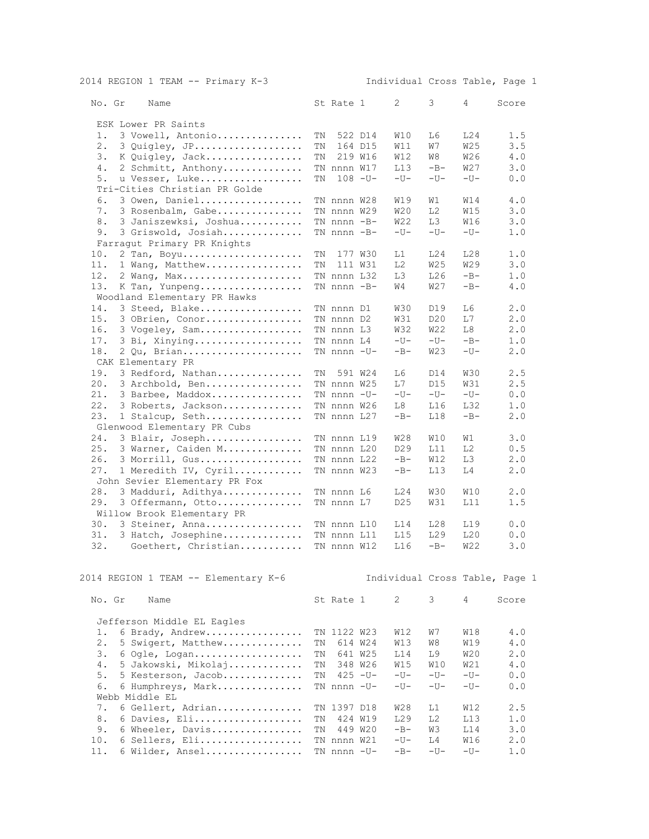| 2014 REGION 1 TEAM -- Primary K-3      |    |                 |             | Individual Cross Table, Page 1 |                 |                 |       |
|----------------------------------------|----|-----------------|-------------|--------------------------------|-----------------|-----------------|-------|
| No. Gr<br>Name                         |    | St Rate 1       |             | 2                              | 3               | 4               | Score |
|                                        |    |                 |             |                                |                 |                 |       |
| ESK Lower PR Saints                    |    |                 |             |                                |                 |                 |       |
| 3 Vowell, Antonio<br>1.                | ΤN |                 | 522 D14     | W10                            | L6              | L24             | 1.5   |
| 2.<br>3 Quigley, JP                    | ΤN |                 | 164 D15     | W11                            | W7              | W25             | 3.5   |
| З.<br>K Quigley, Jack                  | TN |                 | 219 W16     | W12                            | W8              | W <sub>26</sub> | 4.0   |
| 2 Schmitt, Anthony<br>4.               |    | TN nnnn W17     |             | L13                            | $-B-$           | W27             | 3.0   |
| u Vesser, Luke<br>5.                   | TN |                 | $108 - U -$ | $-U-$                          | $-U-$           | $-U-$           | 0.0   |
| Tri-Cities Christian PR Golde          |    |                 |             |                                |                 |                 |       |
| 3 Owen, Daniel<br>6.                   |    | TN nnnn W28     |             | W19                            | W1              | W14             | 4.0   |
| 3 Rosenbalm, Gabe<br>7.                |    | TN nnnn W29     |             | W20                            | L <sub>2</sub>  | W15             | 3.0   |
| 8.<br>3 Janiszewksi, Joshua            |    | $TN$ nnnn $-B-$ |             | W22                            | LЗ              | W16             | 3.0   |
| 3 Griswold, Josiah<br>9.               |    | TN nnnn -B-     |             | $-U-$                          | $-U-$           | $-U-$           | 1.0   |
| Farragut Primary PR Knights            |    |                 |             |                                |                 |                 |       |
| 10.<br>2 Tan, Boyu                     | ΤN |                 | 177 W30     | L1                             | L24             | L28             | 1.0   |
| 11.<br>1 Wang, Matthew                 | TN |                 | 111 W31     | L2                             | W25             | W29             | 3.0   |
| 12.<br>2 Wang, Max                     |    | TN nnnn L32     |             | LЗ                             | L26             | $-B-$           | 1.0   |
| 13.<br>K Tan, Yunpeng                  |    | TN nnnn -B-     |             | W4                             | W27             | $-B-$           | 4.0   |
| Woodland Elementary PR Hawks           |    |                 |             |                                |                 |                 |       |
| 14.<br>3 Steed, Blake                  |    | TN nnnn D1      |             | W30                            | D19             | L6              | 2.0   |
| 15.<br>3 OBrien, Conor                 |    | TN nnnn D2      |             |                                | D <sub>20</sub> | L7              | 2.0   |
|                                        |    |                 |             | W31                            |                 |                 |       |
| 16.<br>3 Vogeley, Sam                  |    | TN nnnn L3      |             | W32                            | W22             | L8              | 2.0   |
| 17.<br>3 Bi, Xinying                   |    | TN nnnn L4      |             | $-U-$                          | $-U-$           | $-B-$           | 1.0   |
| 18.<br>2 Qu, Brian                     |    | TN nnnn -U-     |             | $-B-$                          | W23             | $-U-$           | 2.0   |
| CAK Elementary PR                      |    |                 |             |                                |                 |                 |       |
| 19.<br>3 Redford, Nathan               | ΤN |                 | 591 W24     | L6                             | D14             | W30             | 2.5   |
| 20.<br>3 Archbold, Ben                 |    | TN nnnn W25     |             | L7                             | D15             | W31             | 2.5   |
| 21.<br>3 Barbee, Maddox                |    | TN nnnn -U-     |             | $-U-$                          | $-U-$           | $-U-$           | 0.0   |
| 22.<br>3 Roberts, Jackson              |    | TN nnnn W26     |             | L8                             | L16             | L32             | 1.0   |
| 23.<br>1 Stalcup, Seth                 |    | TN nnnn L27     |             | $-B-$                          | L18             | $-B-$           | 2.0   |
| Glenwood Elementary PR Cubs            |    |                 |             |                                |                 |                 |       |
| 24.<br>3 Blair, Joseph                 |    | TN nnnn L19     |             | W28                            | W10             | W1              | 3.0   |
| 25.<br>3 Warner, Caiden M              |    | TN nnnn L20     |             | D <sub>29</sub>                | L11             | L <sub>2</sub>  | 0.5   |
| 26.<br>3 Morrill, Gus                  |    | TN nnnn L22     |             | $-B-$                          | W12             | LЗ              | 2.0   |
| 27.                                    |    | TN nnnn W23     |             | $-B-$                          | L13             | L4              | 2.0   |
| 1 Meredith IV, Cyril                   |    |                 |             |                                |                 |                 |       |
| John Sevier Elementary PR Fox          |    |                 |             |                                |                 |                 |       |
| 28.<br>3 Madduri, Adithya              |    | TN nnnn L6      |             | L24                            | W30             | W10             | 2.0   |
| 29.<br>3 Offermann, Otto               |    | TN nnnn L7      |             | D <sub>25</sub>                | W31             | L11             | 1.5   |
| Willow Brook Elementary PR             |    |                 |             |                                |                 |                 |       |
| 30.<br>3 Steiner, Anna                 |    | TN nnnn L10     |             | L14                            | L28             | L19             | 0.0   |
| 31.<br>3 Hatch, Josephine              |    | TN nnnn L11     |             | L15                            | L29             | L20             | 0.0   |
| Goethert, Christian TN nnnn W12<br>32. |    |                 |             | L16                            | $-B-$           | W22             | 3.0   |
| 2014 REGION 1 TEAM -- Elementary K-6   |    |                 |             | Individual Cross Table, Page 1 |                 |                 |       |
|                                        |    |                 |             |                                |                 |                 |       |
| No. Gr<br>Name                         |    | St Rate 1       |             | 2                              | 3               | 4               | Score |
| Jefferson Middle EL Eagles             |    |                 |             |                                |                 |                 |       |
| 6 Brady, Andrew<br>1.                  |    | TN 1122 W23     |             | W12                            | W7              | W18             | 4.0   |
| 2.<br>5 Swigert, Matthew               | ΤN |                 | 614 W24     | W13                            | W8              | W19             | 4.0   |
| 6 Ogle, Logan<br>З.                    | TN |                 | 641 W25     | L14                            | I 9             | W20             | 2.0   |
| 5 Jakowski, Mikolaj<br>4.              | TN |                 | 348 W26     | <b>W15</b>                     | W10             | W21             | 4.0   |
| 5 Kesterson, Jacob<br>5.               | TN |                 | $425 - U -$ | $-U-$                          | $-U-$           | $-U-$           | 0.0   |
| 6.<br>6 Humphreys, Mark                |    | TN nnnn -U-     |             | $-U-$                          | $-U-$           | $-U-$           | 0.0   |
| Webb Middle EL                         |    |                 |             |                                |                 |                 |       |
| 6 Gellert, Adrian<br>7.                |    | TN 1397 D18     |             | W28                            | L1              | W12             | 2.5   |
|                                        |    |                 |             |                                |                 |                 |       |
| 6 Davies, Eli<br>8.                    | ΤN |                 | 424 W19     | L29                            | L <sub>2</sub>  | L13             | 1.0   |
| 9.<br>6 Wheeler, Davis                 | TN |                 | 449 W20     | $-B-$                          | WЗ              | L14             | 3.0   |
| 10.<br>6 Sellers, Eli                  |    | TN nnnn W21     |             | $-U-$                          | L4              | W16             | 2.0   |
| 11.<br>6 Wilder, Ansel                 |    | TN nnnn -U-     |             | $-B-$                          | $-U-$           | $-U-$           | 1.0   |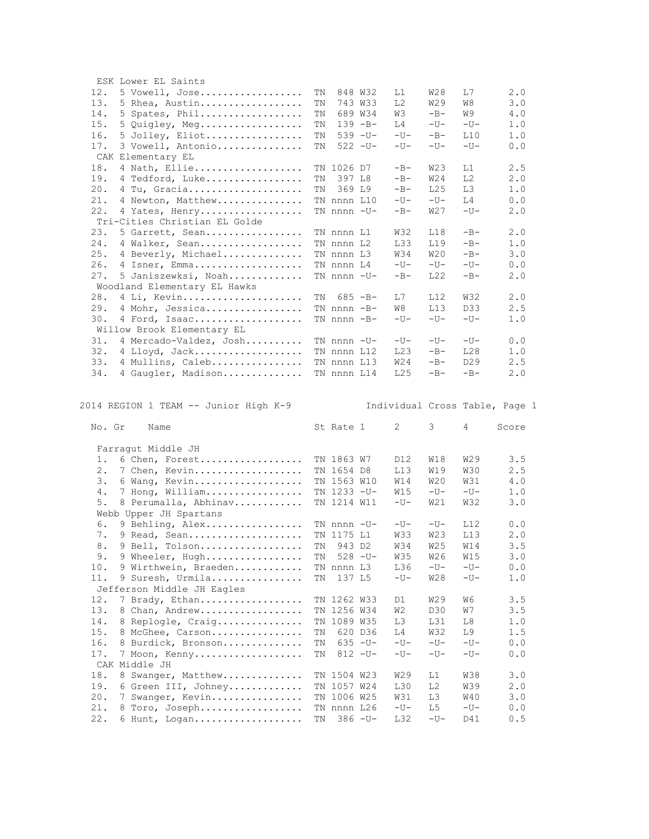| ESK Lower EL Saints                                                |    |                |             |                 |            |                 |                                       |  |
|--------------------------------------------------------------------|----|----------------|-------------|-----------------|------------|-----------------|---------------------------------------|--|
| 12.<br>5 Vowell, Jose                                              | ΤN |                | 848 W32     | L1              | W28        | IJ7             | 2.0                                   |  |
| 13.<br>5 Rhea, Austin                                              | ΤN |                | 743 W33     | L <sub>2</sub>  | W29        | W8              | 3.0                                   |  |
| 14.<br>5 Spates, Phil                                              | ΤN |                | 689 W34     | WЗ              | $-B-$      | W9              | $4\;.0$                               |  |
| 15.<br>5 Quigley, Meg                                              | ΤN |                | $139 - B -$ | L4              | $-U-$      | $-U-$           | 1.0                                   |  |
| 16.<br>5 Jolley, Eliot                                             | TN |                | $539 - U -$ | $-U-$           | $-B-$      | L10             | 1.0                                   |  |
| 17.<br>3 Vowell, Antonio                                           | ΤN |                | $522 - U -$ | $-U-$           | $-U-$      | $-U-$           | 0.0                                   |  |
| CAK Elementary EL                                                  |    |                |             |                 |            |                 |                                       |  |
| 18.<br>4 Nath, Ellie                                               |    | TN 1026 D7     |             | $-B-$           | W23        | L1              | 2.5                                   |  |
| 19.<br>4 Tedford, Luke                                             | ΤN | 397 L8         |             | $-B-$           | W24        | L <sub>2</sub>  | 2.0                                   |  |
| 20.<br>4 Tu, Gracia                                                | ΤN | 369 L9         |             | $-B-$           | L25        | LЗ              | 1.0                                   |  |
| 21.<br>4 Newton, Matthew                                           |    | TN nnnn L10    |             | $-U-$           | $-U-$      | L4              | 0.0                                   |  |
| 22.<br>4 Yates, Henry                                              |    | TN nnnn -U-    |             | $-B-$           | W27        | $-U-$           | 2.0                                   |  |
| Tri-Cities Christian EL Golde                                      |    |                |             |                 |            |                 |                                       |  |
| 23.<br>5 Garrett, Sean                                             |    | TN nnnn L1     |             | W32             | L18        | $-B-$           | 2.0                                   |  |
| 24.<br>4 Walker, Sean                                              |    | TN nnnn L2     |             | L33             | L19        | $-B-$           | 1.0                                   |  |
| 25.<br>4 Beverly, Michael                                          |    | TN nnnn L3     |             | W34             | W20        | $-B-$           | 3.0                                   |  |
| 26.                                                                |    |                |             | $-U-$           | $-U-$      | $-U-$           |                                       |  |
| 4 Isner, Emma                                                      |    | TN nnnn L4     |             |                 |            |                 | 0.0                                   |  |
| 27.<br>5 Janiszewksi, Noah                                         |    | TN nnnn -U-    |             | $-B-$           | L22        | $-B-$           | 2.0                                   |  |
| Woodland Elementary EL Hawks                                       |    |                |             |                 |            |                 |                                       |  |
| 28.<br>4 Li, Kevin                                                 | TN |                | $685 - B -$ | L7              | L12        | <b>W32</b>      | 2.0                                   |  |
| 29.<br>4 Mohr, Jessica                                             |    | TN $nnnn - B-$ |             | W8              | L13        | D33             | 2.5                                   |  |
| 30.<br>4 Ford, Isaac                                               |    | TN nnnn -B-    |             | $-U-$           | $-U-$      | $-U-$           | 1.0                                   |  |
| Willow Brook Elementary EL                                         |    |                |             |                 |            |                 |                                       |  |
| 31.<br>4 Mercado-Valdez, Josh                                      |    | TN nnnn -U-    |             | $-U-$           | $-U-$      | $-U-$           | 0.0                                   |  |
| 32.<br>4 Lloyd, Jack                                               |    | TN nnnn L12    |             | L23             | $-B-$      | L28             | 1.0                                   |  |
| 33.<br>4 Mullins, Caleb                                            |    | TN nnnn L13    |             | W24             | $-B-$      | D <sub>29</sub> | 2.5                                   |  |
|                                                                    |    | TN nnnn L14    |             |                 |            |                 |                                       |  |
| 34.<br>4 Gaugler, Madison<br>2014 REGION 1 TEAM -- Junior High K-9 |    |                |             | L <sub>25</sub> | $-B-$      | $-B-$           | 2.0<br>Individual Cross Table, Page 1 |  |
| No. Gr<br>Name                                                     |    | St Rate 1      |             | 2               | 3          | 4               | Score                                 |  |
| Farragut Middle JH                                                 |    |                |             |                 |            |                 |                                       |  |
| 6 Chen, Forest<br>1.                                               |    | TN 1863 W7     |             | D12             | W18        | W29             | 3.5                                   |  |
| 2.<br>7 Chen, Kevin                                                |    | TN 1654 D8     |             | L13             | W19        | <b>W30</b>      | 2.5                                   |  |
| 3.<br>6 Wang, Kevin                                                |    | TN 1563 W10    |             | W14             | W20        | W31             | 4.0                                   |  |
| 4.<br>7 Hong, William                                              |    | TN 1233 -U-    |             | W15             | $-U-$      | $-U-$           | 1.0                                   |  |
| 5.<br>8 Perumalla, Abhinav                                         |    | TN 1214 W11    |             | $-U-$           | W21        | <b>W32</b>      | 3.0                                   |  |
|                                                                    |    |                |             |                 |            |                 |                                       |  |
| Webb Upper JH Spartans<br>6.                                       |    |                |             | $-U-$           | $-U-$      | L12             | 0.0                                   |  |
| 9 Behling, Alex<br>7.                                              |    | TN nnnn -U-    |             | W33             | W23        | L13             | 2.0                                   |  |
| 9 Read, Sean                                                       |    | TN 1175 L1     |             |                 |            |                 |                                       |  |
| 8.<br>9 Bell, Tolson                                               | ΤN | 943 D2         |             | W34             | <b>W25</b> | W14             | 3.5                                   |  |
| 9 Wheeler, Hugh<br>9.                                              | ΤN | $528 - U -$    |             | W35             | W26        | W15             | 3.0                                   |  |
| 10.<br>9 Wirthwein, Braeden                                        |    | TN nnnn L3     |             | L36             | $-U-$      | $-U-$           | 0.0                                   |  |
| 11.<br>9 Suresh, Urmila<br>Jefferson Middle JH Eagles              | ΤN | 137 L5         |             | $-U-$           | W28        | $-U-$           | 1.0                                   |  |
| 12.<br>7 Brady, Ethan                                              |    | TN 1262 W33    |             | D1              | W29        | W6              | 3.5                                   |  |
| 13.<br>8 Chan, Andrew                                              |    | TN 1256 W34    |             | W2              | D30        | W7              | 3.5                                   |  |
| 14.                                                                |    | TN 1089 W35    |             | LЗ              | L31        | L8              | 1.0                                   |  |
| 8 Replogle, Craig<br>15.                                           | ΤN |                | 620 D36     | L4              | W32        | L9              | 1.5                                   |  |
| 8 McGhee, Carson<br>16.                                            | ΤN |                |             | $-U-$           | $-U-$      | $-U-$           | 0.0                                   |  |
| 8 Burdick, Bronson                                                 |    |                | $635 - U -$ |                 |            |                 |                                       |  |
| 17.<br>7 Moon, Kenny                                               | ΤN |                | $812 - U -$ | $-U-$           | $-U-$      | $-U-$           | 0.0                                   |  |
| CAK Middle JH                                                      |    |                |             |                 |            |                 |                                       |  |
| 18.<br>8 Swanger, Matthew                                          |    | TN 1504 W23    |             | W29             | L1         | W38             | 3.0                                   |  |
| 19.<br>6 Green III, Johney                                         |    | TN 1057 W24    |             | L30             | L2         | W39             | 2.0                                   |  |
| 20.<br>7 Swanger, Kevin                                            |    | TN 1006 W25    |             | W31             | LЗ         | W40             | 3.0                                   |  |
| 21.<br>8 Toro, Joseph                                              |    | TN nnnn L26    |             | $-U-$           | L5         | $-U-$           | 0.0                                   |  |
| 22.<br>6 Hunt, Logan                                               | ΤN |                | $386 - U -$ | L32             | $-U-$      | D41             | 0.5                                   |  |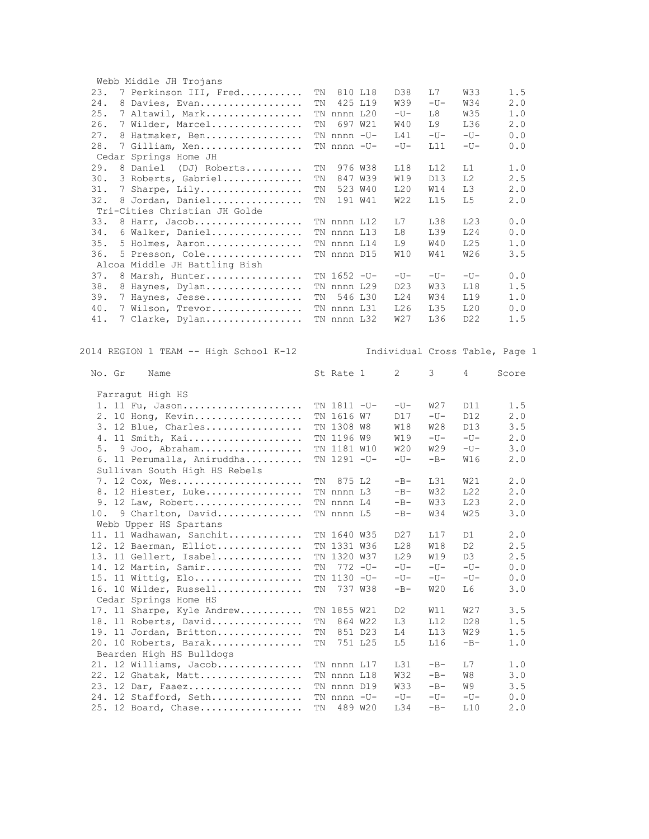| Webb Middle JH Trojans                 |    |             |                    |                  |                 |                 |                                |
|----------------------------------------|----|-------------|--------------------|------------------|-----------------|-----------------|--------------------------------|
| 23.<br>7 Perkinson III, Fred           | ΤN |             | 810 L18            | D38              | L7              | W33             | 1.5                            |
| 24.<br>8 Davies, Evan                  | ΤN |             | 425 L19            | <b>W39</b>       | $-U-$           | W34             | 2.0                            |
| 25.<br>7 Altawil, Mark                 |    | TN nnnn L20 |                    | $-U-$            | L8              | <b>W35</b>      | 1.0                            |
| 26.<br>7 Wilder, Marcel                | TN |             | 697 W21            | W40              | I.9             | L36             | 2.0                            |
| 27.<br>8 Hatmaker, Ben                 |    | TN nnnn -U- |                    | L41              | $-U-$           | $-U-$           | 0.0                            |
| 28.<br>7 Gilliam, Xen                  |    | TN nnnn -U- |                    | $-U-$            | L11             | $-U-$           | 0.0                            |
| Cedar Springs Home JH                  |    |             |                    |                  |                 |                 |                                |
| 29.<br>8 Daniel (DJ) Roberts           | ΤN |             | 976 W38            | L18              | L12             | L1              | 1.0                            |
| 30.                                    | ΤN |             |                    |                  |                 | L2              | 2.5                            |
| 3 Roberts, Gabriel                     |    |             | 847 W39<br>523 W40 | W19              | D13             |                 |                                |
| 31.<br>7 Sharpe, Lily                  | ΤN |             |                    | L20              | W14             | L3              | 2.0                            |
| 32.<br>8 Jordan, Daniel                | ΤN |             | 191 W41            | W22              | L15             | L5              | 2.0                            |
| Tri-Cities Christian JH Golde          |    |             |                    |                  |                 |                 |                                |
| 33.<br>8 Harr, Jacob                   |    | TN nnnn L12 |                    | L7               | L38             | L23             | 0.0                            |
| 34.<br>6 Walker, Daniel                |    | TN nnnn L13 |                    | L8               | L39             | L24             | 0.0                            |
| 35.<br>5 Holmes, Aaron                 |    | TN nnnn L14 |                    | L9               | <b>W40</b>      | L25             | 1.0                            |
| 36.<br>5 Presson, Cole                 |    | TN nnnn D15 |                    | W10              | W41             | W26             | 3.5                            |
| Alcoa Middle JH Battling Bish          |    |             |                    |                  |                 |                 |                                |
| 37.<br>8 Marsh, Hunter                 |    | TN 1652 -U- |                    | $-U-$            | $-U-$           | $-U-$           | 0.0                            |
| 38.<br>8 Haynes, Dylan                 |    | TN nnnn L29 |                    | D <sub>2</sub> 3 | W33             | L18             | 1.5                            |
| 39.<br>7 Haynes, Jesse                 | ΤN |             | 546 L30            | L24              | W34             | L19             | 1.0                            |
| 40.<br>7 Wilson, Trevor                |    | TN nnnn L31 |                    | L26              | L35             | L20             | 0.0                            |
| 41.<br>7 Clarke, Dylan                 |    | TN nnnn L32 |                    | W27              | L36             | D <sub>22</sub> | 1.5                            |
|                                        |    |             |                    |                  |                 |                 |                                |
|                                        |    |             |                    |                  |                 |                 |                                |
| 2014 REGION 1 TEAM -- High School K-12 |    |             |                    |                  |                 |                 | Individual Cross Table, Page 1 |
| No. Gr<br>Name                         |    | St Rate 1   |                    | 2                | 3               | 4               | Score                          |
|                                        |    |             |                    |                  |                 |                 |                                |
| Farragut High HS                       |    |             |                    |                  |                 |                 |                                |
| 1. 11 Fu, Jason                        |    | TN 1811 -U- |                    | $-U-$            | W27             | D11             | 1.5                            |
| 2. 10 Hong, Kevin                      |    | TN 1616 W7  |                    | D17              | $-U-$           | D12             | 2.0                            |
| 3. 12 Blue, Charles                    |    | TN 1308 W8  |                    | W18              | W28             | D13             | 3.5                            |
| 4. 11 Smith, Kai                       |    | TN 1196 W9  |                    | W19              | $-U-$           | $-U-$           | 2.0                            |
| 5.<br>$9$ Joo, Abraham                 |    | TN 1181 W10 |                    | W20              | W <sub>29</sub> | $-U-$           | 3.0                            |
|                                        |    | TN 1291 -U- |                    | $-U-$            | $-B-$           | W16             | 2.0                            |
| 6. 11 Perumalla, Aniruddha             |    |             |                    |                  |                 |                 |                                |
| Sullivan South High HS Rebels          |    |             |                    |                  |                 |                 |                                |
| 7. 12 Cox, Wes                         | ΤN | 875 L2      |                    | $-B-$            | L31             | W21             | 2.0                            |
| 8. 12 Hiester, Luke                    |    | TN nnnn L3  |                    | $-B-$            | W32             | L22             | 2.0                            |
| 9. 12 Law, Robert                      |    | TN nnnn L4  |                    | $-B-$            | W33             | L23             | 2.0                            |
| 10.<br>9 Charlton, David               |    | TN nnnn L5  |                    | $-B-$            | W34             | <b>W25</b>      | 3.0                            |
| Webb Upper HS Spartans                 |    |             |                    |                  |                 |                 |                                |
| 11. 11 Wadhawan, Sanchit               |    | TN 1640 W35 |                    | D27              | L17             | D1              | 2.0                            |
| 12. 12 Baerman, Elliot                 |    | TN 1331 W36 |                    | L28              | W18             | D <sub>2</sub>  | 2.5                            |
| 13. 11 Gellert, Isabel                 |    | TN 1320 W37 |                    | L29              | W19             | D3              | 2.5                            |
| 14. 12 Martin, Samir                   | ΤN |             | $772 - U -$        | $-U-$            | $-U-$           | $-U-$           | 0.0                            |
| 15. 11 Wittig, Elo                     |    | TN 1130 -U- |                    | $-U-$            | $-U-$           | $-U-$           | 0.0                            |
| 16. 10 Wilder, Russell                 | ΤN |             | 737 W38            | $-B-$            | W20             | L6              | 3.0                            |
| Cedar Springs Home HS                  |    |             |                    |                  |                 |                 |                                |
| 17. 11 Sharpe, Kyle Andrew             |    | TN 1855 W21 |                    | D <sub>2</sub>   | W11             | W27             | 3.5                            |
| 11 Roberts, David<br>18.               | ΤN |             | 864 W22            | LЗ               | L12             | D <sub>28</sub> | 1.5                            |
| 19. 11 Jordan, Britton                 | ΤN |             | 851 D23            | L4               | L13             | W29             | 1.5                            |
| 20. 10 Roberts, Barak                  | ΤN |             | 751 L25            | L5               | L16             | $-B-$           | 1.0                            |
| Bearden High HS Bulldogs               |    |             |                    |                  |                 |                 |                                |
| 21. 12 Williams, Jacob                 |    | TN nnnn L17 |                    | L31              | $-B-$           | L7              | 1.0                            |
|                                        |    | TN nnnn L18 |                    | <b>W32</b>       | $-B-$           | W8              | 3.0                            |
| 22. 12 Ghatak, Matt                    |    |             |                    |                  |                 |                 |                                |
| 23. 12 Dar, Faaez                      |    | TN nnnn D19 |                    | <b>W33</b>       | $-B-$           | W9              | 3.5                            |
| 24. 12 Stafford, Seth                  |    | TN nnnn -U- |                    | $-U-$            | $-U-$           | $-U-$           | 0.0                            |
| 25. 12 Board, Chase                    | ΤN |             | 489 W20            | L34              | $-B-$           | L10             | 2.0                            |